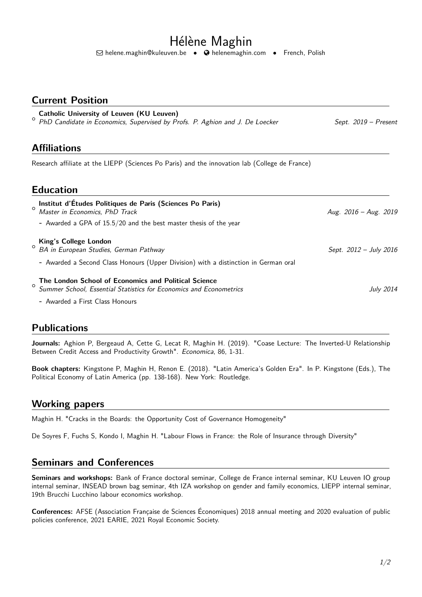# Hélène Maghin

Q [helene.maghin@kuleuven.be](mailto:helene.maghin@kuleuven.be) • [helenemaghin.com](http://helenemaghin.com) • French, Polish

#### **Current Position**

| Catholic University of Leuven (KU Leuven)<br><sup>o</sup> PhD Candidate in Economics, Supervised by Profs. P. Aghion and J. De Loecker | Sept. 2019 – Present |
|----------------------------------------------------------------------------------------------------------------------------------------|----------------------|
| <b>Affiliations</b>                                                                                                                    |                      |
| Research affiliate at the LIEPP (Sciences Po Paris) and the innovation lab (College de France)                                         |                      |
| <b>Education</b>                                                                                                                       |                      |
| Institut d'Études Politiques de Paris (Sciences Po Paris)                                                                              |                      |

| <sup>o</sup> Master in Economics, PhD Track<br>- Awarded a GPA of 15.5/20 and the best master thesis of the year                                                           | Aug. $2016 - Aug. 2019$ |
|----------------------------------------------------------------------------------------------------------------------------------------------------------------------------|-------------------------|
| <b>King's College London</b><br><sup>O</sup> BA in European Studies, German Pathway<br>- Awarded a Second Class Honours (Upper Division) with a distinction in German oral | Sept. 2012 – July 2016  |
| The London School of Economics and Political Science<br><sup>O</sup> Summer School, Essential Statistics for Economics and Econometrics                                    | <b>July 2014</b>        |

**-** Awarded a First Class Honours

## **Publications**

**Journals:** Aghion P, Bergeaud A, Cette G, Lecat R, Maghin H. (2019). "Coase Lecture: The Inverted-U Relationship Between Credit Access and Productivity Growth". Economica, 86, 1-31.

**Book chapters:** Kingstone P, Maghin H, Renon E. (2018). "Latin America's Golden Era". In P. Kingstone (Eds.), The Political Economy of Latin America (pp. 138-168). New York: Routledge.

## **Working papers**

Maghin H. "Cracks in the Boards: the Opportunity Cost of Governance Homogeneity"

De Soyres F, Fuchs S, Kondo I, Maghin H. "Labour Flows in France: the Role of Insurance through Diversity"

#### **Seminars and Conferences**

**Seminars and workshops:** Bank of France doctoral seminar, College de France internal seminar, KU Leuven IO group internal seminar, INSEAD brown bag seminar, 4th IZA workshop on gender and family economics, LIEPP internal seminar, 19th Brucchi Lucchino labour economics workshop.

**Conferences:** AFSE (Association Française de Sciences Économiques) 2018 annual meeting and 2020 evaluation of public policies conference, 2021 EARIE, 2021 Royal Economic Society.